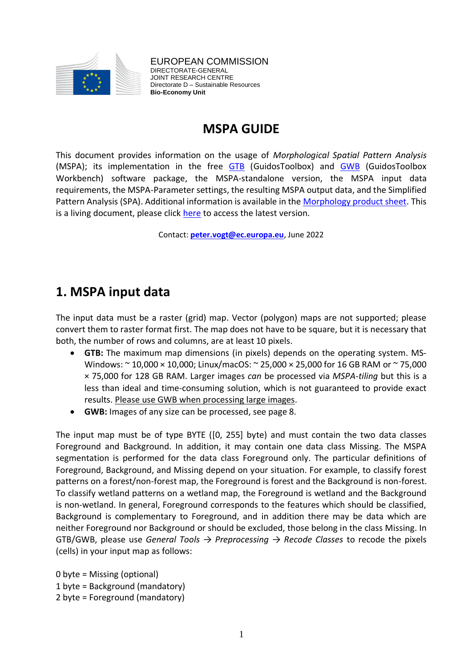

EUROPEAN COMMISSION DIRECTORATE-GENERAL JOINT RESEARCH CENTRE Directorate D – Sustainable Resources **Bio-Economy Unit** 

# **MSPA GUIDE**

This document provides information on the usage of *Morphological Spatial Pattern Analysis* (MSPA); its implementation in the free [GTB](https://forest.jrc.ec.europa.eu/en/activities/lpa/gtb/) (GuidosToolbox) and [GWB](https://forest.jrc.ec.europa.eu/en/activities/lpa/gwb/) (GuidosToolbox Workbench) software package, the MSPA-standalone version, the MSPA input data requirements, the MSPA-Parameter settings, the resulting MSPA output data, and the Simplified Pattern Analysis (SPA). Additional information is available in the [Morphology product sheet.](https://ies-ows.jrc.ec.europa.eu/gtb/GTB/psheets/GTB-Pattern-Morphology.pdf) This is a living document, please click [here](https://ies-ows.jrc.ec.europa.eu/gtb/GTB/MSPA_Guide.pdf) to access the latest version.

Contact: **[peter.vogt@ec.europa.eu](mailto:peter.vogt@ec.europa.eu)**, June 2022

# **1. MSPA input data**

The input data must be a raster (grid) map. Vector (polygon) maps are not supported; please convert them to raster format first. The map does not have to be square, but it is necessary that both, the number of rows and columns, are at least 10 pixels.

- **GTB:** The maximum map dimensions (in pixels) depends on the operating system. MS-Windows: ~ 10,000 × 10,000; Linux/macOS: ~ 25,000 × 25,000 for 16 GB RAM or ~ 75,000 × 75,000 for 128 GB RAM. Larger images *can* be processed via *MSPA-tiling* but this is a less than ideal and time-consuming solution, which is not guaranteed to provide exact results. Please use GWB when processing large images.
- **GWB:** Images of any size can be processed, see page 8.

The input map must be of type BYTE ([0, 255] byte) and must contain the two data classes Foreground and Background. In addition, it may contain one data class Missing. The MSPA segmentation is performed for the data class Foreground only. The particular definitions of Foreground, Background, and Missing depend on your situation. For example, to classify forest patterns on a forest/non-forest map, the Foreground is forest and the Background is non-forest. To classify wetland patterns on a wetland map, the Foreground is wetland and the Background is non-wetland. In general, Foreground corresponds to the features which should be classified, Background is complementary to Foreground, and in addition there may be data which are neither Foreground nor Background or should be excluded, those belong in the class Missing. In GTB/GWB, please use *General Tools → Preprocessing → Recode Classes* to recode the pixels (cells) in your input map as follows:

0 byte = Missing (optional) 1 byte = Background (mandatory) 2 byte = Foreground (mandatory)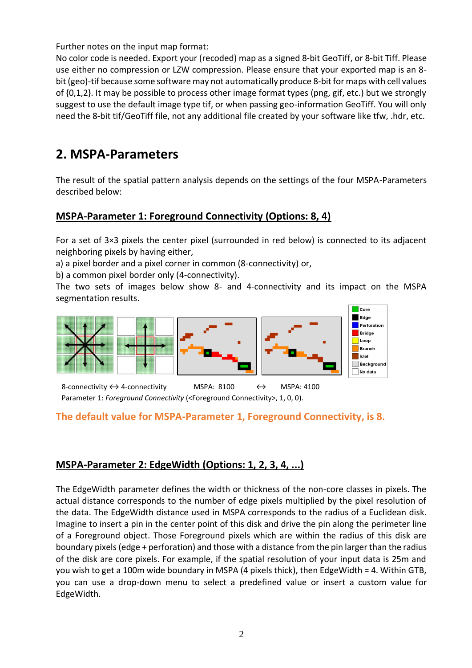Further notes on the input map format:

No color code is needed. Export your (recoded) map as a signed 8-bit GeoTiff, or 8-bit Tiff. Please use either no compression or LZW compression. Please ensure that your exported map is an 8 bit (geo)-tif because some software may not automatically produce 8-bit for maps with cell values of {0,1,2}. It may be possible to process other image format types (png, gif, etc.) but we strongly suggest to use the default image type tif, or when passing geo-information GeoTiff. You will only need the 8-bit tif/GeoTiff file, not any additional file created by your software like tfw, .hdr, etc.

# **2. MSPA-Parameters**

The result of the spatial pattern analysis depends on the settings of the four MSPA-Parameters described below:

## **MSPA-Parameter 1: Foreground Connectivity (Options: 8, 4)**

For a set of 3×3 pixels the center pixel (surrounded in red below) is connected to its adjacent neighboring pixels by having either,

a) a pixel border and a pixel corner in common (8-connectivity) or,

b) a common pixel border only (4-connectivity).

The two sets of images below show 8- and 4-connectivity and its impact on the MSPA segmentation results.



8-connectivity  $\leftrightarrow$  4-connectivity MSPA: 8100  $\leftrightarrow$  MSPA: 4100 Parameter 1: *Foreground Connectivity* (<Foreground Connectivity>, 1, 0, 0).

### **The default value for MSPA-Parameter 1, Foreground Connectivity, is 8.**

## **MSPA-Parameter 2: EdgeWidth (Options: 1, 2, 3, 4, ...)**

The EdgeWidth parameter defines the width or thickness of the non-core classes in pixels. The actual distance corresponds to the number of edge pixels multiplied by the pixel resolution of the data. The EdgeWidth distance used in MSPA corresponds to the radius of a Euclidean disk. Imagine to insert a pin in the center point of this disk and drive the pin along the perimeter line of a Foreground object. Those Foreground pixels which are within the radius of this disk are boundary pixels (edge + perforation) and those with a distance from the pin larger than the radius of the disk are core pixels. For example, if the spatial resolution of your input data is 25m and you wish to get a 100m wide boundary in MSPA (4 pixels thick), then EdgeWidth = 4. Within GTB, you can use a drop-down menu to select a predefined value or insert a custom value for EdgeWidth.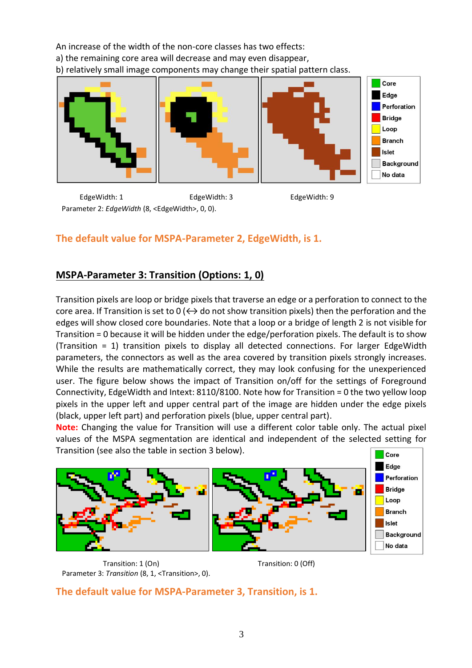An increase of the width of the non-core classes has two effects: a) the remaining core area will decrease and may even disappear, b) relatively small image components may change their spatial pattern class.



EdgeWidth: 1 EdgeWidth: 3 EdgeWidth: 9 Parameter 2: *EdgeWidth* (8, <EdgeWidth>, 0, 0).

## **The default value for MSPA-Parameter 2, EdgeWidth, is 1.**

## **MSPA-Parameter 3: Transition (Options: 1, 0)**

Transition pixels are loop or bridge pixels that traverse an edge or a perforation to connect to the core area. If Transition is set to  $0 \leftrightarrow$  do not show transition pixels) then the perforation and the edges will show closed core boundaries. Note that a loop or a bridge of length 2 is not visible for Transition = 0 because it will be hidden under the edge/perforation pixels. The default is to show (Transition = 1) transition pixels to display all detected connections. For larger EdgeWidth parameters, the connectors as well as the area covered by transition pixels strongly increases. While the results are mathematically correct, they may look confusing for the unexperienced user. The figure below shows the impact of Transition on/off for the settings of Foreground Connectivity, EdgeWidth and Intext: 8110/8100. Note how for Transition = 0 the two yellow loop pixels in the upper left and upper central part of the image are hidden under the edge pixels (black, upper left part) and perforation pixels (blue, upper central part).

**Note:** Changing the value for Transition will use a different color table only. The actual pixel values of the MSPA segmentation are identical and independent of the selected setting for Transition (see also the table in section 3 below). Core



Transition: 1 (On) Transition: 0 (Off) Parameter 3: *Transition* (8, 1, <Transition>, 0).

**The default value for MSPA-Parameter 3, Transition, is 1.**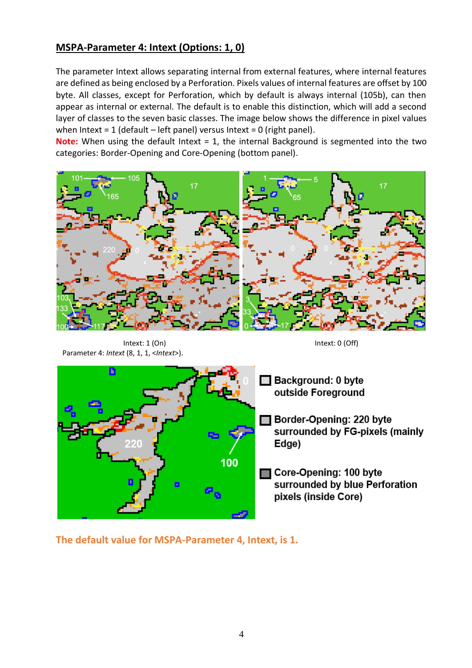## **MSPA-Parameter 4: Intext (Options: 1, 0)**

The parameter Intext allows separating internal from external features, where internal features are defined as being enclosed by a Perforation. Pixels values of internal features are offset by 100 byte. All classes, except for Perforation, which by default is always internal (105b), can then appear as internal or external. The default is to enable this distinction, which will add a second layer of classes to the seven basic classes. The image below shows the difference in pixel values when Intext = 1 (default – left panel) versus Intext = 0 (right panel).

**Note:** When using the default Intext = 1, the internal Background is segmented into the two categories: Border-Opening and Core-Opening (bottom panel).



Intext: 1 (On) Intext: 0 (Off) Parameter 4: *Intext* (8, 1, 1, <*Intext*>).



**The default value for MSPA-Parameter 4, Intext, is 1.**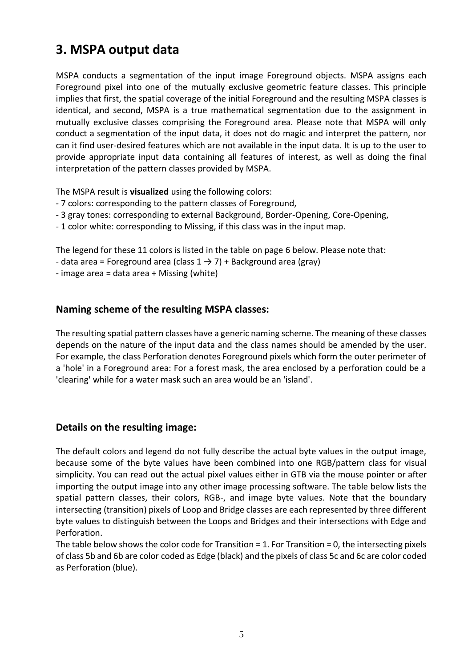# **3. MSPA output data**

MSPA conducts a segmentation of the input image Foreground objects. MSPA assigns each Foreground pixel into one of the mutually exclusive geometric feature classes. This principle implies that first, the spatial coverage of the initial Foreground and the resulting MSPA classes is identical, and second, MSPA is a true mathematical segmentation due to the assignment in mutually exclusive classes comprising the Foreground area. Please note that MSPA will only conduct a segmentation of the input data, it does not do magic and interpret the pattern, nor can it find user-desired features which are not available in the input data. It is up to the user to provide appropriate input data containing all features of interest, as well as doing the final interpretation of the pattern classes provided by MSPA.

The MSPA result is **visualized** using the following colors:

- 7 colors: corresponding to the pattern classes of Foreground,
- 3 gray tones: corresponding to external Background, Border-Opening, Core-Opening,
- 1 color white: corresponding to Missing, if this class was in the input map.

The legend for these 11 colors is listed in the table on page 6 below. Please note that:

- data area = Foreground area (class  $1 \rightarrow 7$ ) + Background area (gray)
- image area = data area + Missing (white)

#### **Naming scheme of the resulting MSPA classes:**

The resulting spatial pattern classes have a generic naming scheme. The meaning of these classes depends on the nature of the input data and the class names should be amended by the user. For example, the class Perforation denotes Foreground pixels which form the outer perimeter of a 'hole' in a Foreground area: For a forest mask, the area enclosed by a perforation could be a 'clearing' while for a water mask such an area would be an 'island'.

#### **Details on the resulting image:**

The default colors and legend do not fully describe the actual byte values in the output image, because some of the byte values have been combined into one RGB/pattern class for visual simplicity. You can read out the actual pixel values either in GTB via the mouse pointer or after importing the output image into any other image processing software. The table below lists the spatial pattern classes, their colors, RGB-, and image byte values. Note that the boundary intersecting (transition) pixels of Loop and Bridge classes are each represented by three different byte values to distinguish between the Loops and Bridges and their intersections with Edge and Perforation.

The table below shows the color code for Transition = 1. For Transition = 0, the intersecting pixels of class 5b and 6b are color coded as Edge (black) and the pixels of class 5c and 6c are color coded as Perforation (blue).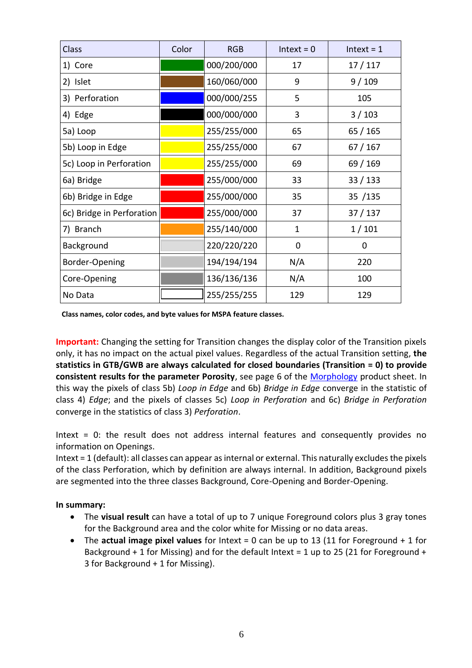| Class                     | Color | <b>RGB</b>  | $Interest = 0$ | $Interest = 1$ |
|---------------------------|-------|-------------|----------------|----------------|
| 1) Core                   |       | 000/200/000 | 17             | 17/117         |
| 2) Islet                  |       | 160/060/000 | 9              | 9/109          |
| 3) Perforation            |       | 000/000/255 | 5              | 105            |
| 4) Edge                   |       | 000/000/000 | 3              | 3/103          |
| 5a) Loop                  |       | 255/255/000 | 65             | 65 / 165       |
| 5b) Loop in Edge          |       | 255/255/000 | 67             | 67 / 167       |
| 5c) Loop in Perforation   |       | 255/255/000 | 69             | 69 / 169       |
| 6a) Bridge                |       | 255/000/000 | 33             | 33 / 133       |
| 6b) Bridge in Edge        |       | 255/000/000 | 35             | 35 /135        |
| 6c) Bridge in Perforation |       | 255/000/000 | 37             | 37/137         |
| 7) Branch                 |       | 255/140/000 | 1              | 1/101          |
| Background                |       | 220/220/220 | 0              | 0              |
| Border-Opening            |       | 194/194/194 | N/A            | 220            |
| Core-Opening              |       | 136/136/136 | N/A            | 100            |
| No Data                   |       | 255/255/255 | 129            | 129            |

**Class names, color codes, and byte values for MSPA feature classes.**

**Important:** Changing the setting for Transition changes the display color of the Transition pixels only, it has no impact on the actual pixel values. Regardless of the actual Transition setting, **the statistics in GTB/GWB are always calculated for closed boundaries (Transition = 0) to provide consistent results for the parameter Porosity**, see page 6 of the [Morphology](https://ies-ows.jrc.ec.europa.eu/gtb/GTB/psheets/GTB-Pattern-Morphology.pdf) product sheet. In this way the pixels of class 5b) *Loop in Edge* and 6b) *Bridge in Edge* converge in the statistic of class 4) *Edge*; and the pixels of classes 5c) *Loop in Perforation* and 6c) *Bridge in Perforation* converge in the statistics of class 3) *Perforation*.

Intext = 0: the result does not address internal features and consequently provides no information on Openings.

Intext = 1 (default): all classes can appear as internal or external. This naturally excludes the pixels of the class Perforation, which by definition are always internal. In addition, Background pixels are segmented into the three classes Background, Core-Opening and Border-Opening.

**In summary:**

- The **visual result** can have a total of up to 7 unique Foreground colors plus 3 gray tones for the Background area and the color white for Missing or no data areas.
- The **actual image pixel values** for Intext = 0 can be up to 13 (11 for Foreground + 1 for Background  $+1$  for Missing) and for the default Intext = 1 up to 25 (21 for Foreground  $+$ 3 for Background + 1 for Missing).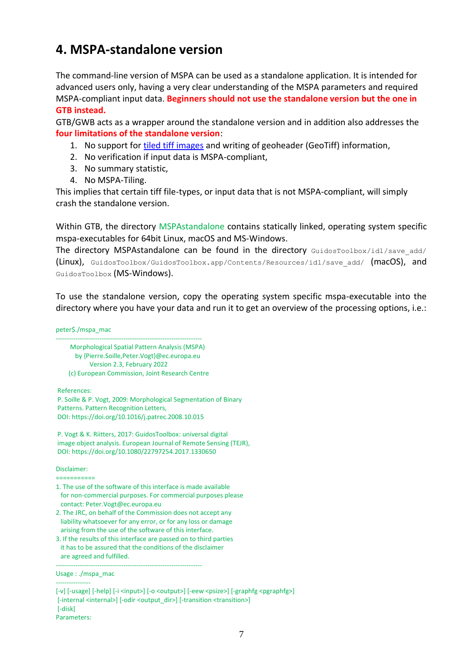# **4. MSPA-standalone version**

The command-line version of MSPA can be used as a standalone application. It is intended for advanced users only, having a very clear understanding of the MSPA parameters and required MSPA-compliant input data. **Beginners should not use the standalone version but the one in GTB instead.**

GTB/GWB acts as a wrapper around the standalone version and in addition also addresses the **four limitations of the standalone version**:

- 1. No support for [tiled tiff images](https://en.wikipedia.org/wiki/Tagged_Image_File_Format) and writing of geoheader (GeoTiff) information,
- 2. No verification if input data is MSPA-compliant,
- 3. No summary statistic,
- 4. No MSPA-Tiling.

This implies that certain tiff file-types, or input data that is not MSPA-compliant, will simply crash the standalone version.

Within GTB, the directory MSPAstandalone contains statically linked, operating system specific mspa-executables for 64bit Linux, macOS and MS-Windows.

The directory MSPAstandalone can be found in the directory GuidosToolbox/idl/save add/ (Linux), GuidosToolbox/GuidosToolbox.app/Contents/Resources/idl/save\_add/ (macOS), and GuidosToolbox (MS-Windows).

To use the standalone version, copy the operating system specific mspa-executable into the directory where you have your data and run it to get an overview of the processing options, i.e.:

peter\$./mspa\_mac ------------------------------------------------------------------- Morphological Spatial Pattern Analysis (MSPA) by {Pierre.Soille,Peter.Vogt}@ec.europa.eu Version 2.3, February 2022 (c) European Commission, Joint Research Centre

References:

P. Soille & P. Vogt, 2009: Morphological Segmentation of Binary Patterns. Pattern Recognition Letters, DOI: https://doi.org/10.1016/j.patrec.2008.10.015

P. Vogt & K. Riitters, 2017: GuidosToolbox: universal digital image object analysis. European Journal of Remote Sensing (TEJR), DOI: https://doi.org/10.1080/22797254.2017.1330650

Disclaimer:

===========

- 1. The use of the software of this interface is made available for non-commercial purposes. For commercial purposes please contact: Peter.Vogt@ec.europa.eu
- 2. The JRC, on behalf of the Commission does not accept any liability whatsoever for any error, or for any loss or damage arising from the use of the software of this interface.
- 3. If the results of this interface are passed on to third parties it has to be assured that the conditions of the disclaimer are agreed and fulfilled.

-------------------------------------------------------------------

Usage : ./mspa\_mac ----------------

[-v] [-usage] [-help] [-i <input>] [-o <output>] [-eew <psize>] [-graphfg <pgraphfg>] [-internal <internal>] [-odir <output\_dir>] [-transition <transition>] [-disk] Parameters: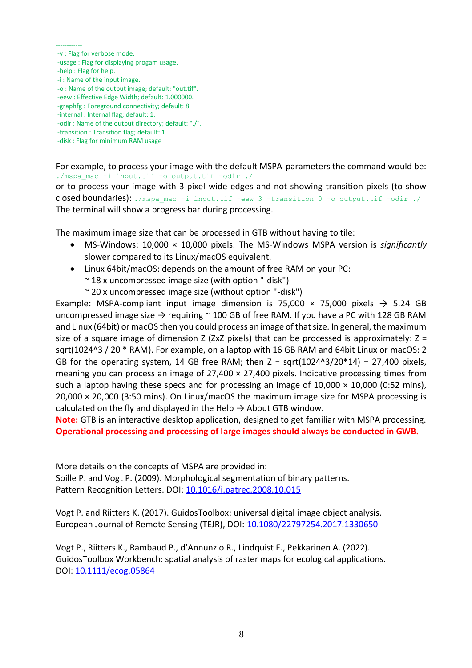#### ------------

- -v : Flag for verbose mode.
- -usage : Flag for displaying progam usage.
- -help : Flag for help.
- -i : Name of the input image.
- -o : Name of the output image; default: "out.tif".
- -eew : Effective Edge Width; default: 1.000000.
- -graphfg : Foreground connectivity; default: 8.
- -internal : Internal flag; default: 1.
- -odir : Name of the output directory; default: "./".
- -transition : Transition flag; default: 1.
- -disk : Flag for minimum RAM usage

For example, to process your image with the default MSPA-parameters the command would be: ./mspa\_mac -i input.tif -o output.tif -odir ./

or to process your image with 3-pixel wide edges and not showing transition pixels (to show closed boundaries): ./mspa\_mac -i input.tif -eew 3 -transition 0 -o output.tif -odir ./ The terminal will show a progress bar during processing.

The maximum image size that can be processed in GTB without having to tile:

- MS-Windows: 10,000 × 10,000 pixels. The MS-Windows MSPA version is *significantly* slower compared to its Linux/macOS equivalent.
- Linux 64bit/macOS: depends on the amount of free RAM on your PC:
	- $\sim$  18 x uncompressed image size (with option "-disk")
	- $\sim$  20 x uncompressed image size (without option "-disk")

Example: MSPA-compliant input image dimension is 75,000  $\times$  75,000 pixels  $\rightarrow$  5.24 GB uncompressed image size  $\rightarrow$  requiring  $\sim$  100 GB of free RAM. If you have a PC with 128 GB RAM and Linux (64bit) or macOS then you could process an image of that size. In general, the maximum size of a square image of dimension Z (ZxZ pixels) that can be processed is approximately:  $Z =$ sqrt(1024^3 / 20 \* RAM). For example, on a laptop with 16 GB RAM and 64bit Linux or macOS: 2 GB for the operating system, 14 GB free RAM; then  $Z = \sqrt{1024^2/20^2/4} = 27,400$  pixels, meaning you can process an image of  $27,400 \times 27,400$  pixels. Indicative processing times from such a laptop having these specs and for processing an image of  $10,000 \times 10,000$  (0:52 mins), 20,000 × 20,000 (3:50 mins). On Linux/macOS the maximum image size for MSPA processing is calculated on the fly and displayed in the Help  $\rightarrow$  About GTB window.

**Note:** GTB is an interactive desktop application, designed to get familiar with MSPA processing. **Operational processing and processing of large images should always be conducted in GWB.**

More details on the concepts of MSPA are provided in: Soille P. and Vogt P. (2009). Morphological segmentation of binary patterns. Pattern Recognition Letters. DOI: [10.1016/j.patrec.2008.10.015](https://doi.org/10.1016/j.patrec.2008.10.015)

Vogt P. and Riitters K. (2017). GuidosToolbox: universal digital image object analysis. European Journal of Remote Sensing (TEJR), DOI: [10.1080/22797254.2017.1330650](https://doi.org/10.1080/22797254.2017.1330650) 

Vogt P., Riitters K., Rambaud P., d'Annunzio R., Lindquist E., Pekkarinen A. (2022). GuidosToolbox Workbench: spatial analysis of raster maps for ecological applications. DOI: [10.1111/ecog.05864](https://doi.org/10.1111/ecog.05864)